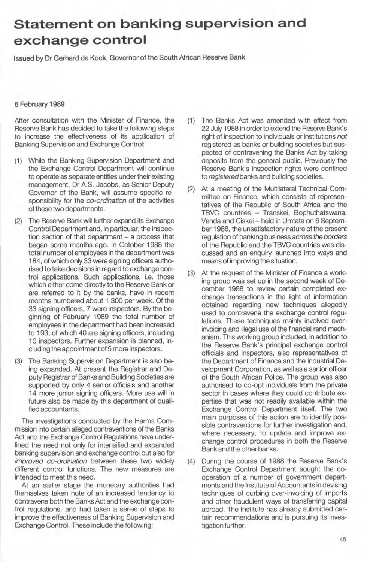## **Statement on banking supervision and exchange control**

Issued by **Dr** Gerhard de Kock, Governor of the South African Reserve Bank

## 6 February 1969

After consultation with the Minister of Finance, the Reserve Bank has decided to take the following steps to increase the effectiveness of its application of Banking Supervision and Exchange Control:

- (1) While the Banking Supervision Department and the Exchange Control Department will continue to operate as separate entities under their existing management, Dr A.S. Jacobs, as Senior Deputy Govemor of the Bank, will assume specific responsibility for the co-ordination of the activities of these two departments.
- (2) The Reserve Bank will further expand its Exchange Control Department and, in particular, the Inspection section of that department  $-$  a process that began some months ago. In October 1988 the total number of employees in the department was 184, of which only 33 were signing officers authorised to take decisions in regard to exchange control applications. Such applications, i.e. those which either come directly to the Reserve Bank or are referred to it by the banks, have in recent menths numbered abeut 1 300 per week. Of the 33 signing officers, 7 were inspectors. By the beginning of February 1989 the total number of empleyees in the department had been increased to 193, of which 40 are signing officers, including 10 inspectors. Further expansion is planned, including the appointment of 5 more inspectors.
- (3) The Banking Supervision Department is also being expanded. At present the Registrar and Deputy Registrar of Banks and Building Societies are supported by only 4 senior officials and another 14 more junior signing officers. More use will in future also be made by this department of qualified accountants.

The investigations conducted by the Harms Commission into certain alleged contraventions of the Banks Act and the Exchange Control Regulations have underlined the need not only for intensified and expanded banking supervision and exchange control but also for improved co-ordination between these two widely different control functions. The new measures are intended to meet this need.

At an earlier stage the monetary authorities had themselves taken note of an increased tendency to contravene both the Banks Act and the exchange control regulations, and had taken a series of steps to improve the effectiveness of Banking Supervision and Exchange Control. These include the following:

- (1) The Banks Act was amended with effect from 22 July 1988 in order to extend the Reserve Bank's right of inspection to individuals or institutions not registered as banks or building societies but suspected of contravening the Banks Act by taking deposits from the general public. Previously the Reserve Bank's inspection rights were confined to registered banks and building societies.
- (2) At a meeting of the Multilateral Technical Committee on Finance, which consists of representatives of the Republic of South Africa and the TBVC countries - Transkei, Bophuthatswana, Venda and Ciskei - held in Umtata on 6 September 1988, the unsatisfactory nature of the present regulation of banking business across the borders of the Republic and the TBVC countries was discussed and an enquiry launched into ways and means of improving the situation.
- (3) At the request of the Minister of Finance a working group was set up in the second week of December 1988 to review certain completed exchange transactions in the light of information .obtained regarding new techniques allegedly used to contravene the exchange control regulations. These techniques mainly involved overinvoicing and illegal use of the financial rand mechanism. This working group included, in addition to the Reserve Bank's principal exchange control officials and inspectors, also representatives of the Department of Finance and the Industrial Development Corporation, as well as a senior officer of the South African Police. The group was also authorised to co-opt individuals from the private sector in cases where they could contribute expertise that was not readily available within the Exchange Control Department itself. The two main purposes of this action are to identify possible contraventions for further investigation and, where necessary, to update and improve exchange control procedures in both the Reserve Bank and the other banks.
- (4) During the course of 1988 the Reserve Bank's Exchange Control Department sought the cooperation of a number of government departments and the Institute of Accountants in devising techniques of curbing over-invoicing of imports and other fraudulent ways of transferring capital abread. The Institute has already submitted certain recommendations and is pursuing its investigation further.